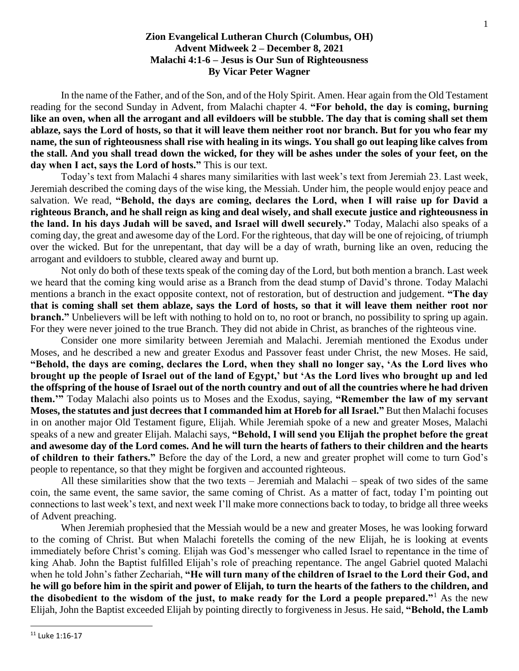## **Zion Evangelical Lutheran Church (Columbus, OH) Advent Midweek 2 – December 8, 2021 Malachi 4:1-6 – Jesus is Our Sun of Righteousness By Vicar Peter Wagner**

In the name of the Father, and of the Son, and of the Holy Spirit. Amen. Hear again from the Old Testament reading for the second Sunday in Advent, from Malachi chapter 4. **"For behold, the day is coming, burning like an oven, when all the arrogant and all evildoers will be stubble. The day that is coming shall set them ablaze, says the Lord of hosts, so that it will leave them neither root nor branch. But for you who fear my name, the sun of righteousness shall rise with healing in its wings. You shall go out leaping like calves from the stall. And you shall tread down the wicked, for they will be ashes under the soles of your feet, on the day when I act, says the Lord of hosts."** This is our text.

Today's text from Malachi 4 shares many similarities with last week's text from Jeremiah 23. Last week, Jeremiah described the coming days of the wise king, the Messiah. Under him, the people would enjoy peace and salvation. We read, **"Behold, the days are coming, declares the Lord, when I will raise up for David a righteous Branch, and he shall reign as king and deal wisely, and shall execute justice and righteousness in the land. In his days Judah will be saved, and Israel will dwell securely."** Today, Malachi also speaks of a coming day, the great and awesome day of the Lord. For the righteous, that day will be one of rejoicing, of triumph over the wicked. But for the unrepentant, that day will be a day of wrath, burning like an oven, reducing the arrogant and evildoers to stubble, cleared away and burnt up.

Not only do both of these texts speak of the coming day of the Lord, but both mention a branch. Last week we heard that the coming king would arise as a Branch from the dead stump of David's throne. Today Malachi mentions a branch in the exact opposite context, not of restoration, but of destruction and judgement. **"The day that is coming shall set them ablaze, says the Lord of hosts, so that it will leave them neither root nor branch.**" Unbelievers will be left with nothing to hold on to, no root or branch, no possibility to spring up again. For they were never joined to the true Branch. They did not abide in Christ, as branches of the righteous vine.

Consider one more similarity between Jeremiah and Malachi. Jeremiah mentioned the Exodus under Moses, and he described a new and greater Exodus and Passover feast under Christ, the new Moses. He said, **"Behold, the days are coming, declares the Lord, when they shall no longer say, 'As the Lord lives who brought up the people of Israel out of the land of Egypt,' but 'As the Lord lives who brought up and led the offspring of the house of Israel out of the north country and out of all the countries where he had driven them.'"** Today Malachi also points us to Moses and the Exodus, saying, **"Remember the law of my servant Moses, the statutes and just decrees that I commanded him at Horeb for all Israel."** But then Malachi focuses in on another major Old Testament figure, Elijah. While Jeremiah spoke of a new and greater Moses, Malachi speaks of a new and greater Elijah. Malachi says, **"Behold, I will send you Elijah the prophet before the great and awesome day of the Lord comes. And he will turn the hearts of fathers to their children and the hearts of children to their fathers."** Before the day of the Lord, a new and greater prophet will come to turn God's people to repentance, so that they might be forgiven and accounted righteous.

All these similarities show that the two texts – Jeremiah and Malachi – speak of two sides of the same coin, the same event, the same savior, the same coming of Christ. As a matter of fact, today I'm pointing out connections to last week's text, and next week I'll make more connections back to today, to bridge all three weeks of Advent preaching.

When Jeremiah prophesied that the Messiah would be a new and greater Moses, he was looking forward to the coming of Christ. But when Malachi foretells the coming of the new Elijah, he is looking at events immediately before Christ's coming. Elijah was God's messenger who called Israel to repentance in the time of king Ahab. John the Baptist fulfilled Elijah's role of preaching repentance. The angel Gabriel quoted Malachi when he told John's father Zechariah, **"He will turn many of the children of Israel to the Lord their God, and he will go before him in the spirit and power of Elijah, to turn the hearts of the fathers to the children, and the disobedient to the wisdom of the just, to make ready for the Lord a people prepared."**<sup>1</sup> As the new Elijah, John the Baptist exceeded Elijah by pointing directly to forgiveness in Jesus. He said, **"Behold, the Lamb** 

<sup>11</sup> Luke 1:16-17